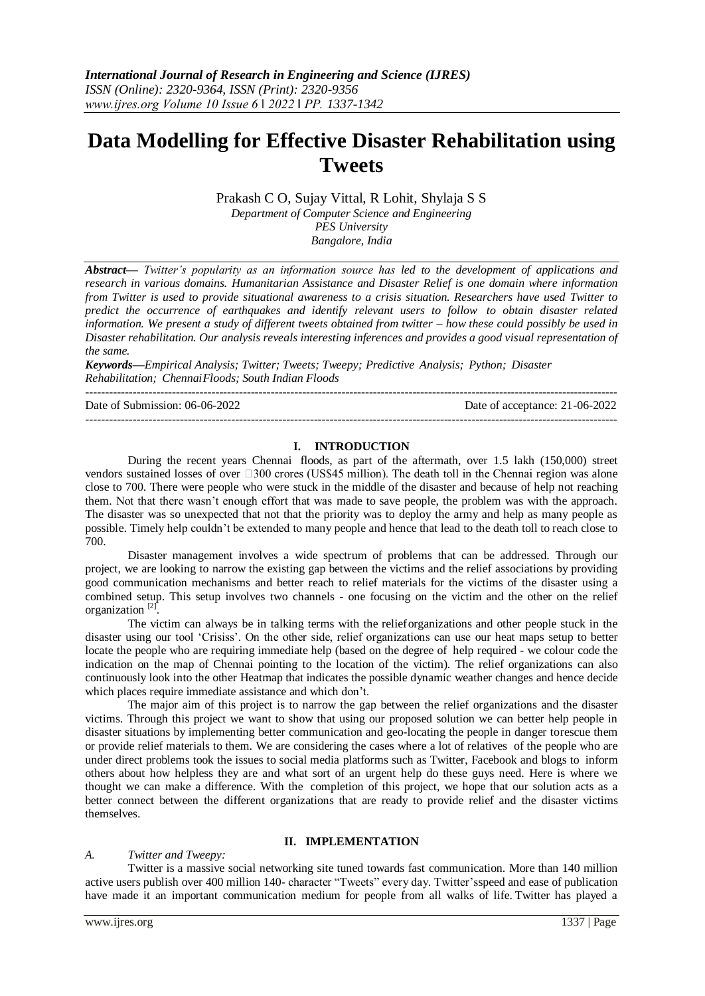# **Data Modelling for Effective Disaster Rehabilitation using Tweets**

Prakash C O, Sujay Vittal, R Lohit, Shylaja S S *Department of Computer Science and Engineering PES University Bangalore, India*

*Abstract— Twitter's popularity as an information source has led to the development of applications and research in various domains. Humanitarian Assistance and Disaster Relief is one domain where information from Twitter is used to provide situational awareness to a crisis situation. Researchers have used Twitter to predict the occurrence of earthquakes and identify relevant users to follow to obtain disaster related information. We present a study of different tweets obtained from twitter – how these could possibly be used in Disaster rehabilitation. Our analysis reveals interesting inferences and provides a good visual representation of the same.*

*Keywords—Empirical Analysis; Twitter; Tweets; Tweepy; Predictive Analysis; Python; Disaster Rehabilitation; ChennaiFloods; South Indian Floods*

---------------------------------------------------------------------------------------------------------------------------------------

Date of Submission: 06-06-2022 Date of acceptance: 21-06-2022 ---------------------------------------------------------------------------------------------------------------------------------------

# **I. INTRODUCTION**

During the recent years Chennai floods, as part of the aftermath, over 1.5 lakh (150,000) street vendors sustained losses of over  $\Box$ 300 crores (US\$45 million). The death toll in the Chennai region was alone close to 700. There were people who were stuck in the middle of the disaster and because of help not reaching them. Not that there wasn't enough effort that was made to save people, the problem was with the approach. The disaster was so unexpected that not that the priority was to deploy the army and help as many people as possible. Timely help couldn't be extended to many people and hence that lead to the death toll to reach close to 700.

Disaster management involves a wide spectrum of problems that can be addressed. Through our project, we are looking to narrow the existing gap between the victims and the relief associations by providing good communication mechanisms and better reach to relief materials for the victims of the disaster using a combined setup. This setup involves two channels - one focusing on the victim and the other on the relief organization<sup>[2]</sup>.

The victim can always be in talking terms with the relieforganizations and other people stuck in the disaster using our tool 'Crisiss'. On the other side, relief organizations can use our heat maps setup to better locate the people who are requiring immediate help (based on the degree of help required - we colour code the indication on the map of Chennai pointing to the location of the victim). The relief organizations can also continuously look into the other Heatmap that indicates the possible dynamic weather changes and hence decide which places require immediate assistance and which don't.

The major aim of this project is to narrow the gap between the relief organizations and the disaster victims. Through this project we want to show that using our proposed solution we can better help people in disaster situations by implementing better communication and geo-locating the people in danger torescue them or provide relief materials to them. We are considering the cases where a lot of relatives of the people who are under direct problems took the issues to social media platforms such as Twitter, Facebook and blogs to inform others about how helpless they are and what sort of an urgent help do these guys need. Here is where we thought we can make a difference. With the completion of this project, we hope that our solution acts as a better connect between the different organizations that are ready to provide relief and the disaster victims themselves.

# **II. IMPLEMENTATION**

# *A. Twitter and Tweepy:*

Twitter is a massive social networking site tuned towards fast communication. More than 140 million active users publish over 400 million 140- character "Tweets" every day. Twitter'sspeed and ease of publication have made it an important communication medium for people from all walks of life. Twitter has played a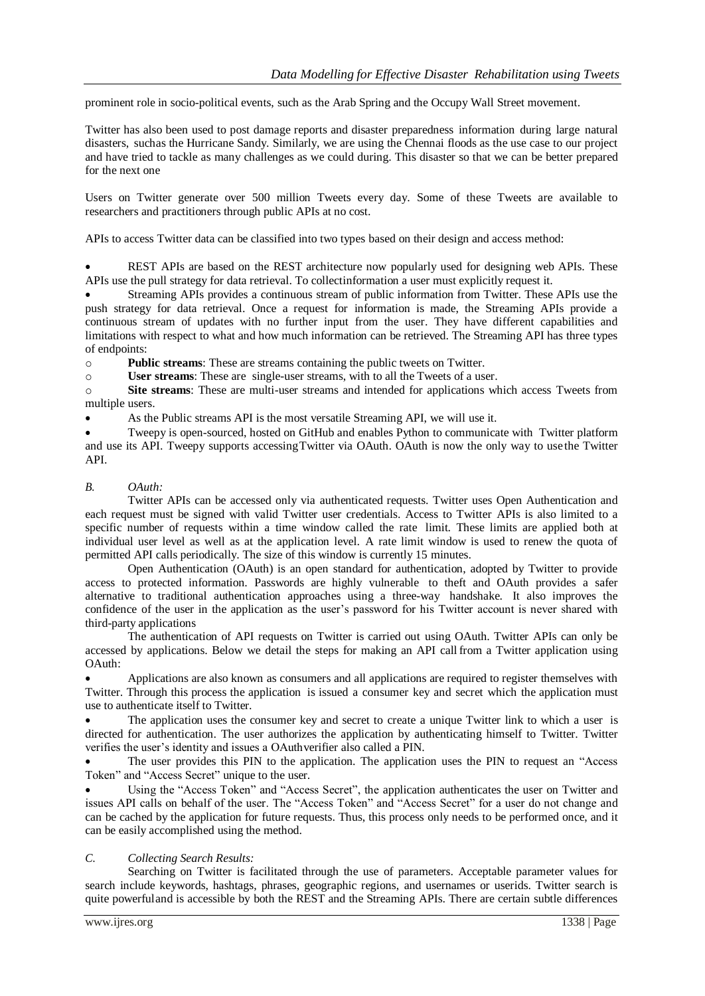prominent role in socio-political events, such as the Arab Spring and the Occupy Wall Street movement.

Twitter has also been used to post damage reports and disaster preparedness information during large natural disasters, suchas the Hurricane Sandy. Similarly, we are using the Chennai floods as the use case to our project and have tried to tackle as many challenges as we could during. This disaster so that we can be better prepared for the next one

Users on Twitter generate over 500 million Tweets every day. Some of these Tweets are available to researchers and practitioners through public APIs at no cost.

APIs to access Twitter data can be classified into two types based on their design and access method:

 REST APIs are based on the REST architecture now popularly used for designing web APIs. These APIs use the pull strategy for data retrieval. To collectinformation a user must explicitly request it.

 Streaming APIs provides a continuous stream of public information from Twitter. These APIs use the push strategy for data retrieval. Once a request for information is made, the Streaming APIs provide a continuous stream of updates with no further input from the user. They have different capabilities and limitations with respect to what and how much information can be retrieved. The Streaming API has three types of endpoints:

o **Public streams**: These are streams containing the public tweets on Twitter.

o **User streams**: These are single-user streams, with to all the Tweets of a user.

o **Site streams**: These are multi-user streams and intended for applications which access Tweets from multiple users.

As the Public streams API is the most versatile Streaming API, we will use it.

 Tweepy is open-sourced, hosted on GitHub and enables Python to communicate with Twitter platform and use its API. Tweepy supports accessingTwitter via OAuth. OAuth is now the only way to use the Twitter API.

# *B. OAuth:*

Twitter APIs can be accessed only via authenticated requests. Twitter uses Open Authentication and each request must be signed with valid Twitter user credentials. Access to Twitter APIs is also limited to a specific number of requests within a time window called the rate limit. These limits are applied both at individual user level as well as at the application level. A rate limit window is used to renew the quota of permitted API calls periodically. The size of this window is currently 15 minutes.

Open Authentication (OAuth) is an open standard for authentication, adopted by Twitter to provide access to protected information. Passwords are highly vulnerable to theft and OAuth provides a safer alternative to traditional authentication approaches using a three-way handshake. It also improves the confidence of the user in the application as the user's password for his Twitter account is never shared with third-party applications

The authentication of API requests on Twitter is carried out using OAuth. Twitter APIs can only be accessed by applications. Below we detail the steps for making an API call from a Twitter application using OAuth:

 Applications are also known as consumers and all applications are required to register themselves with Twitter. Through this process the application is issued a consumer key and secret which the application must use to authenticate itself to Twitter.

 The application uses the consumer key and secret to create a unique Twitter link to which a user is directed for authentication. The user authorizes the application by authenticating himself to Twitter. Twitter verifies the user's identity and issues a OAuthverifier also called a PIN.

 The user provides this PIN to the application. The application uses the PIN to request an "Access Token" and "Access Secret" unique to the user.

 Using the "Access Token" and "Access Secret", the application authenticates the user on Twitter and issues API calls on behalf of the user. The "Access Token" and "Access Secret" for a user do not change and can be cached by the application for future requests. Thus, this process only needs to be performed once, and it can be easily accomplished using the method.

# *C. Collecting Search Results:*

Searching on Twitter is facilitated through the use of parameters. Acceptable parameter values for search include keywords, hashtags, phrases, geographic regions, and usernames or userids. Twitter search is quite powerfuland is accessible by both the REST and the Streaming APIs. There are certain subtle differences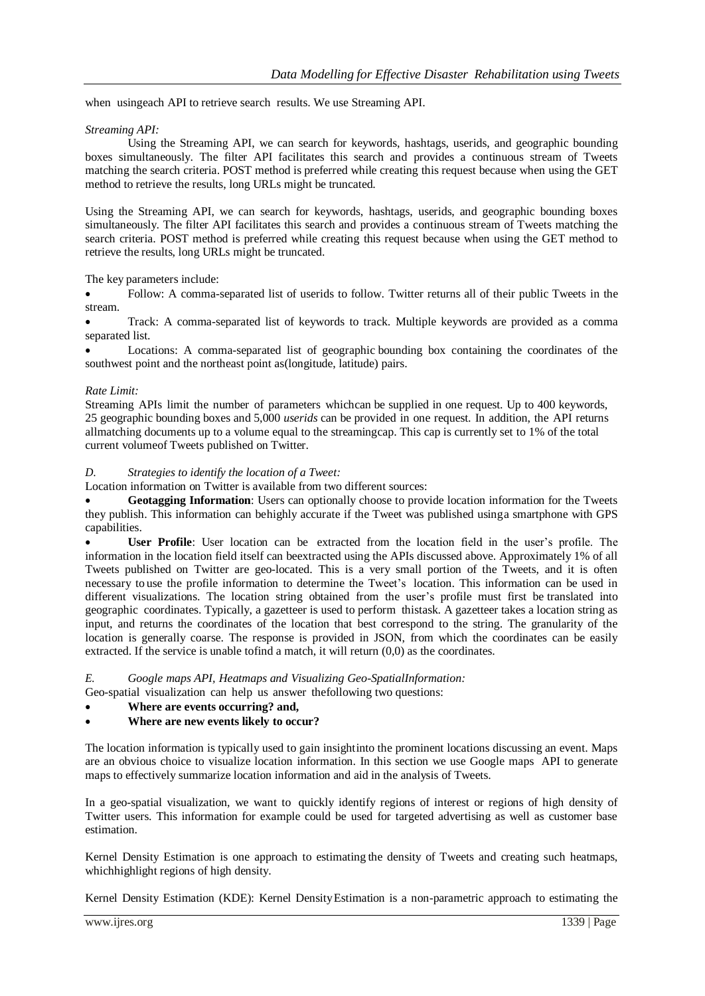when usingeach API to retrieve search results. We use Streaming API.

# *Streaming API:*

Using the Streaming API, we can search for keywords, hashtags, userids, and geographic bounding boxes simultaneously. The filter API facilitates this search and provides a continuous stream of Tweets matching the search criteria. POST method is preferred while creating this request because when using the GET method to retrieve the results, long URLs might be truncated.

Using the Streaming API, we can search for keywords, hashtags, userids, and geographic bounding boxes simultaneously. The filter API facilitates this search and provides a continuous stream of Tweets matching the search criteria. POST method is preferred while creating this request because when using the GET method to retrieve the results, long URLs might be truncated.

The key parameters include:

 Follow: A comma-separated list of userids to follow. Twitter returns all of their public Tweets in the stream.

 Track: A comma-separated list of keywords to track. Multiple keywords are provided as a comma separated list.

 Locations: A comma-separated list of geographic bounding box containing the coordinates of the southwest point and the northeast point as(longitude, latitude) pairs.

## *Rate Limit:*

Streaming APIs limit the number of parameters whichcan be supplied in one request. Up to 400 keywords, 25 geographic bounding boxes and 5,000 *userids* can be provided in one request. In addition, the API returns allmatching documents up to a volume equal to the streamingcap. This cap is currently set to 1% of the total current volumeof Tweets published on Twitter.

# *D. Strategies to identify the location of a Tweet:*

Location information on Twitter is available from two different sources:

 **Geotagging Information**: Users can optionally choose to provide location information for the Tweets they publish. This information can behighly accurate if the Tweet was published usinga smartphone with GPS capabilities.

 **User Profile**: User location can be extracted from the location field in the user's profile. The information in the location field itself can beextracted using the APIs discussed above. Approximately 1% of all Tweets published on Twitter are geo-located. This is a very small portion of the Tweets, and it is often necessary to use the profile information to determine the Tweet's location. This information can be used in different visualizations. The location string obtained from the user's profile must first be translated into geographic coordinates. Typically, a gazetteer is used to perform thistask. A gazetteer takes a location string as input, and returns the coordinates of the location that best correspond to the string. The granularity of the location is generally coarse. The response is provided in JSON, from which the coordinates can be easily extracted. If the service is unable tofind a match, it will return (0,0) as the coordinates.

# *E. Google maps API, Heatmaps and Visualizing Geo-SpatialInformation:*

Geo-spatial visualization can help us answer thefollowing two questions:

# **Where are events occurring? and,**

# **Where are new events likely to occur?**

The location information is typically used to gain insightinto the prominent locations discussing an event. Maps are an obvious choice to visualize location information. In this section we use Google maps API to generate maps to effectively summarize location information and aid in the analysis of Tweets.

In a geo-spatial visualization, we want to quickly identify regions of interest or regions of high density of Twitter users. This information for example could be used for targeted advertising as well as customer base estimation.

Kernel Density Estimation is one approach to estimating the density of Tweets and creating such heatmaps, whichhighlight regions of high density.

Kernel Density Estimation (KDE): Kernel DensityEstimation is a non-parametric approach to estimating the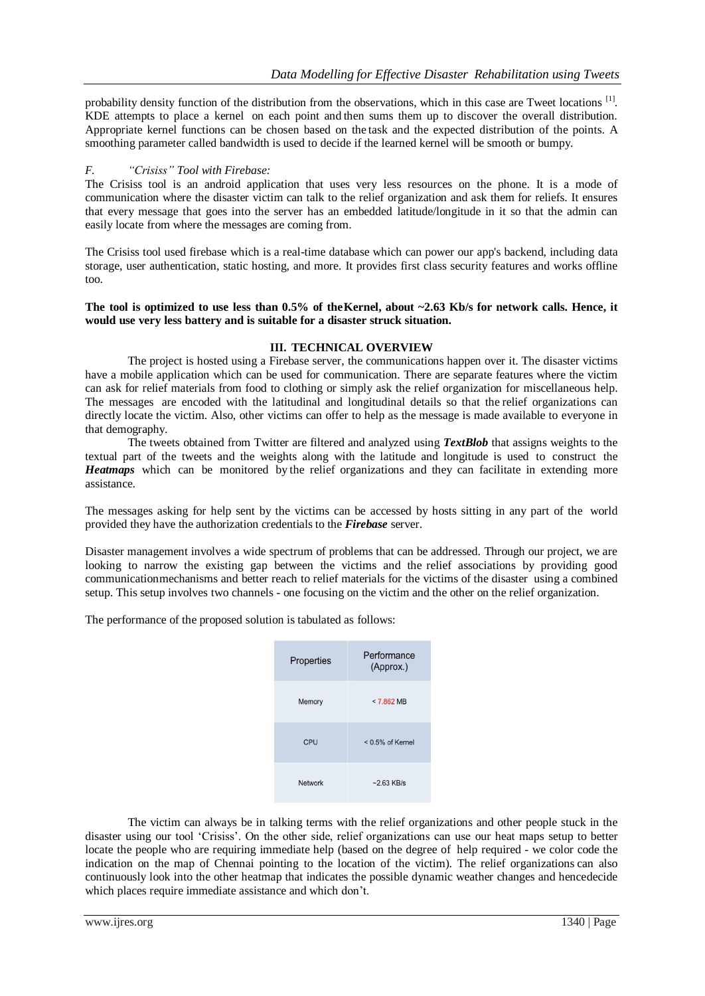probability density function of the distribution from the observations, which in this case are Tweet locations [1]. KDE attempts to place a kernel on each point and then sums them up to discover the overall distribution. Appropriate kernel functions can be chosen based on the task and the expected distribution of the points. A smoothing parameter called bandwidth is used to decide if the learned kernel will be smooth or bumpy.

# *F. "Crisiss" Tool with Firebase:*

The Crisiss tool is an android application that uses very less resources on the phone. It is a mode of communication where the disaster victim can talk to the relief organization and ask them for reliefs. It ensures that every message that goes into the server has an embedded latitude/longitude in it so that the admin can easily locate from where the messages are coming from.

The Crisiss tool used firebase which is a real-time database which can power our app's backend, including data storage, user authentication, static hosting, and more. It provides first class security features and works offline too.

# **The tool is optimized to use less than 0.5% of theKernel, about ~2.63 Kb/s for network calls. Hence, it would use very less battery and is suitable for a disaster struck situation.**

# **III. TECHNICAL OVERVIEW**

The project is hosted using a Firebase server, the communications happen over it. The disaster victims have a mobile application which can be used for communication. There are separate features where the victim can ask for relief materials from food to clothing or simply ask the relief organization for miscellaneous help. The messages are encoded with the latitudinal and longitudinal details so that the relief organizations can directly locate the victim. Also, other victims can offer to help as the message is made available to everyone in that demography.

The tweets obtained from Twitter are filtered and analyzed using *TextBlob* that assigns weights to the textual part of the tweets and the weights along with the latitude and longitude is used to construct the *Heatmaps* which can be monitored by the relief organizations and they can facilitate in extending more assistance.

The messages asking for help sent by the victims can be accessed by hosts sitting in any part of the world provided they have the authorization credentials to the *Firebase* server.

Disaster management involves a wide spectrum of problems that can be addressed. Through our project, we are looking to narrow the existing gap between the victims and the relief associations by providing good communicationmechanisms and better reach to relief materials for the victims of the disaster using a combined setup. This setup involves two channels - one focusing on the victim and the other on the relief organization.

The performance of the proposed solution is tabulated as follows:

| Properties | Performance<br>(Approx.) |
|------------|--------------------------|
| Memory     | $< 7.862$ MB             |
| CPU        | $< 0.5\%$ of Kernel      |
| Network    | $-2.63$ KB/s             |

The victim can always be in talking terms with the relief organizations and other people stuck in the disaster using our tool 'Crisiss'. On the other side, relief organizations can use our heat maps setup to better locate the people who are requiring immediate help (based on the degree of help required - we color code the indication on the map of Chennai pointing to the location of the victim). The relief organizations can also continuously look into the other heatmap that indicates the possible dynamic weather changes and hencedecide which places require immediate assistance and which don't.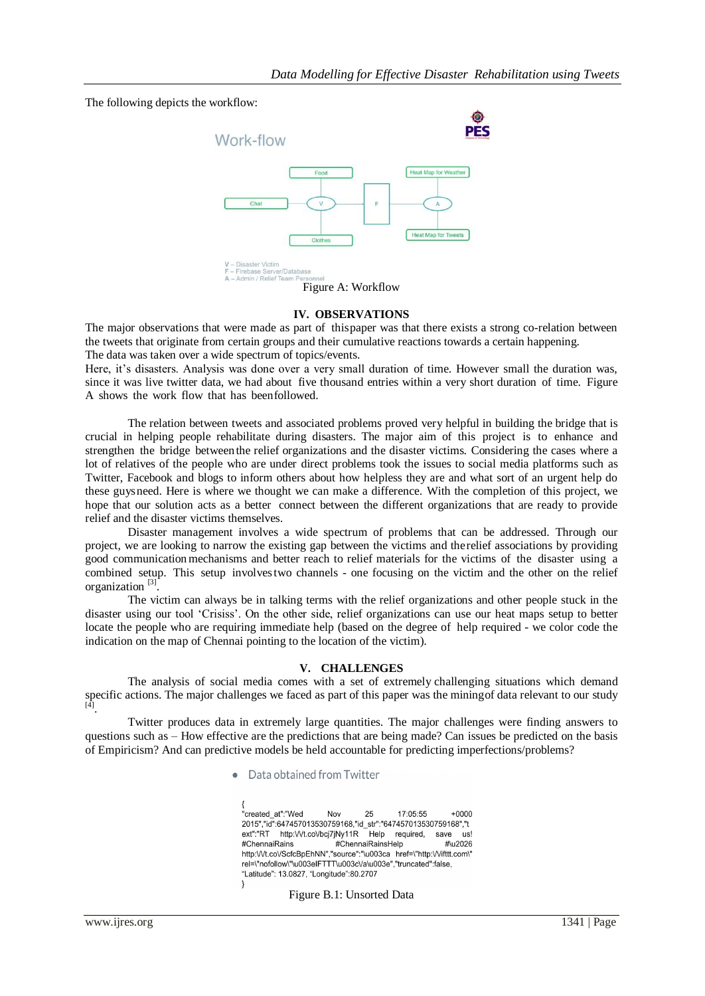# The following depicts the workflow:



## **IV. OBSERVATIONS**

The major observations that were made as part of thispaper was that there exists a strong co-relation between the tweets that originate from certain groups and their cumulative reactions towards a certain happening. The data was taken over a wide spectrum of topics/events.

Here, it's disasters. Analysis was done over a very small duration of time. However small the duration was, since it was live twitter data, we had about five thousand entries within a very short duration of time. Figure A shows the work flow that has beenfollowed.

The relation between tweets and associated problems proved very helpful in building the bridge that is crucial in helping people rehabilitate during disasters. The major aim of this project is to enhance and strengthen the bridge betweenthe relief organizations and the disaster victims. Considering the cases where a lot of relatives of the people who are under direct problems took the issues to social media platforms such as Twitter, Facebook and blogs to inform others about how helpless they are and what sort of an urgent help do these guysneed. Here is where we thought we can make a difference. With the completion of this project, we hope that our solution acts as a better connect between the different organizations that are ready to provide relief and the disaster victims themselves.

Disaster management involves a wide spectrum of problems that can be addressed. Through our project, we are looking to narrow the existing gap between the victims and therelief associations by providing good communicationmechanisms and better reach to relief materials for the victims of the disaster using a combined setup. This setup involvestwo channels - one focusing on the victim and the other on the relief organization<sup>[3]</sup>.

The victim can always be in talking terms with the relief organizations and other people stuck in the disaster using our tool 'Crisiss'. On the other side, relief organizations can use our heat maps setup to better locate the people who are requiring immediate help (based on the degree of help required - we color code the indication on the map of Chennai pointing to the location of the victim).

# **V. CHALLENGES**

The analysis of social media comes with a set of extremely challenging situations which demand specific actions. The major challenges we faced as part of this paper was the miningof data relevant to our study [4] .

Twitter produces data in extremely large quantities. The major challenges were finding answers to questions such as – How effective are the predictions that are being made? Can issues be predicted on the basis of Empiricism? And can predictive models be held accountable for predicting imperfections/problems?

#### Data obtained from Twitter

"created at":"Wed 25  $17:05:55$  $+0000$ Nov 2015","id":647457013530759168,"id str":"647457013530759168","t ext":"RT http:///t.co//bcj7jNy11R Help required, save us! #ChennaiRains #ChennaiRainsHelp #\u2026 http:///t.co//ScfcBpEhNN","source":"\u003ca href=\"http:///ifttt.com\" rel=\"nofollow\"\u003eIFTTT\u003cVa\u003e","truncated":false, "Latitude": 13.0827, "Longitude":80.2707 }

#### Figure B.1: Unsorted Data